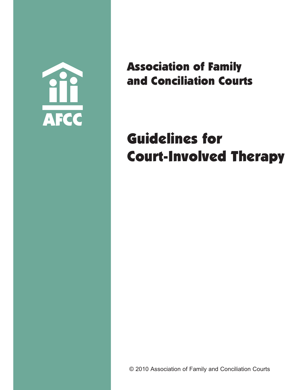

Association of Family and Conciliation Courts

# Guidelines for Court-Involved Therapy

© 2010 Association of Family and Conciliation Courts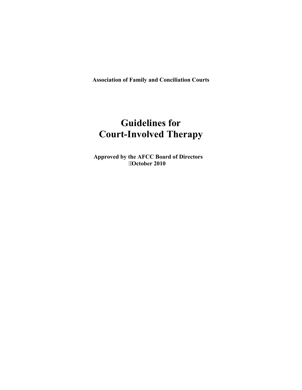**Association of Family and Conciliation Courts** 

# **Guidelines for Court-Involved Therapy**

**Approved by the AFCC Board of Directors** *P***October 2010**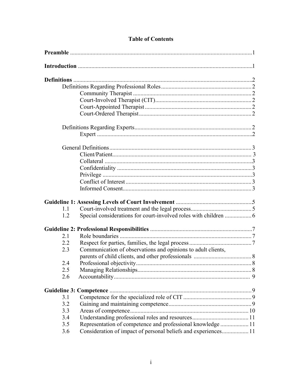| 1.1 |                                                                |  |  |  |
|-----|----------------------------------------------------------------|--|--|--|
| 1.2 |                                                                |  |  |  |
|     |                                                                |  |  |  |
| 2.1 |                                                                |  |  |  |
| 2.2 |                                                                |  |  |  |
| 2.3 | Communication of observations and opinions to adult clients,   |  |  |  |
|     |                                                                |  |  |  |
| 2.4 |                                                                |  |  |  |
| 2.5 |                                                                |  |  |  |
| 2.6 |                                                                |  |  |  |
|     |                                                                |  |  |  |
| 3.1 |                                                                |  |  |  |
| 3.2 |                                                                |  |  |  |
| 3.3 |                                                                |  |  |  |
| 3.4 |                                                                |  |  |  |
| 3.5 | Representation of competence and professional knowledge  11    |  |  |  |
| 3.6 | Consideration of impact of personal beliefs and experiences 11 |  |  |  |

# **Table of Contents**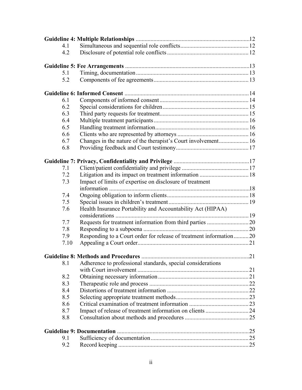| 4.1  |                                                                     |  |
|------|---------------------------------------------------------------------|--|
| 4.2  |                                                                     |  |
|      |                                                                     |  |
| 5.1  |                                                                     |  |
| 5.2  |                                                                     |  |
|      |                                                                     |  |
| 6.1  |                                                                     |  |
| 6.2  |                                                                     |  |
| 6.3  |                                                                     |  |
| 6.4  |                                                                     |  |
| 6.5  |                                                                     |  |
| 6.6  |                                                                     |  |
| 6.7  | Changes in the nature of the therapist's Court involvement 16       |  |
| 6.8  |                                                                     |  |
|      |                                                                     |  |
| 7.1  |                                                                     |  |
| 7.2  |                                                                     |  |
| 7.3  | Impact of limits of expertise on disclosure of treatment            |  |
| 7.4  |                                                                     |  |
| 7.5  |                                                                     |  |
| 7.6  | Health Insurance Portability and Accountability Act (HIPAA)         |  |
|      |                                                                     |  |
| 7.7  |                                                                     |  |
| 7.8  |                                                                     |  |
| 7.9  | Responding to a Court order for release of treatment information 20 |  |
| 7.10 |                                                                     |  |
|      | <b>Guideline 8: Methods and Procedures </b><br>21                   |  |
| 8.1  | Adherence to professional standards, special considerations         |  |
|      |                                                                     |  |
| 8.2  |                                                                     |  |
| 8.3  |                                                                     |  |
| 8.4  |                                                                     |  |
| 8.5  |                                                                     |  |
| 8.6  |                                                                     |  |
| 8.7  | Impact of release of treatment information on clients  24           |  |
| 8.8  |                                                                     |  |
|      |                                                                     |  |
| 9.1  |                                                                     |  |
| 9.2  |                                                                     |  |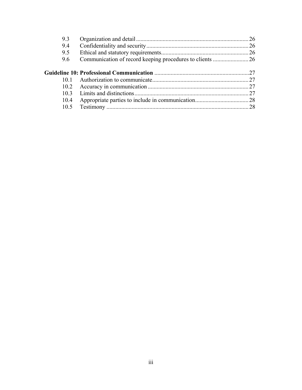| 9.3  | . 26 |
|------|------|
| 9.4  |      |
| 9.5  |      |
| 9.6  |      |
|      |      |
| 101  |      |
|      |      |
| 103  |      |
| 10.4 |      |
| 10.5 |      |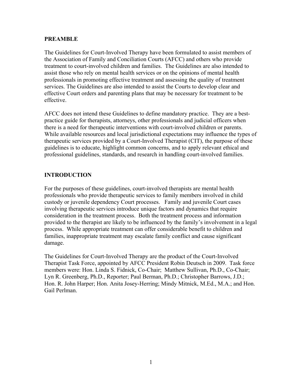#### <span id="page-5-0"></span>**PREAMBLE**

The Guidelines for Court-Involved Therapy have been formulated to assist members of the Association of Family and Conciliation Courts (AFCC) and others who provide treatment to court-involved children and families. The Guidelines are also intended to assist those who rely on mental health services or on the opinions of mental health professionals in promoting effective treatment and assessing the quality of treatment services. The Guidelines are also intended to assist the Courts to develop clear and effective Court orders and parenting plans that may be necessary for treatment to be effective.

AFCC does not intend these Guidelines to define mandatory practice. They are a bestpractice guide for therapists, attorneys, other professionals and judicial officers when there is a need for therapeutic interventions with court-involved children or parents. While available resources and local jurisdictional expectations may influence the types of therapeutic services provided by a Court-Involved Therapist (CIT), the purpose of these guidelines is to educate, highlight common concerns, and to apply relevant ethical and professional guidelines, standards, and research in handling court-involved families.

# **INTRODUCTION**

For the purposes of these guidelines, court-involved therapists are mental health professionals who provide therapeutic services to family members involved in child custody or juvenile dependency Court processes. Family and juvenile Court cases involving therapeutic services introduce unique factors and dynamics that require consideration in the treatment process. Both the treatment process and information provided to the therapist are likely to be influenced by the family's involvement in a legal process. While appropriate treatment can offer considerable benefit to children and families, inappropriate treatment may escalate family conflict and cause significant damage.

The Guidelines for Court-Involved Therapy are the product of the Court-Involved Therapist Task Force, appointed by AFCC President Robin Deutsch in 2009. Task force members were: Hon. Linda S. Fidnick, Co-Chair;Matthew Sullivan, Ph.D., Co-Chair; Lyn R. Greenberg, Ph.D., Reporter; Paul Berman, Ph.D.; Christopher Barrows, J.D.; Hon. R. John Harper; Hon. Anita Josey-Herring; Mindy Mitnick, M.Ed., M.A.; and Hon. Gail Perlman.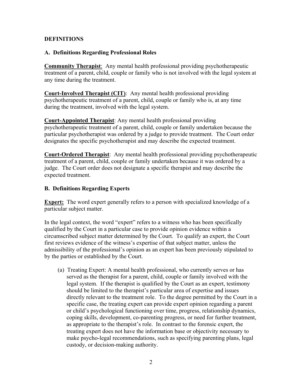# <span id="page-6-0"></span>**DEFINITIONS**

# **A. Definitions Regarding Professional Roles**

**Community Therapist**: Any mental health professional providing psychotherapeutic treatment of a parent, child, couple or family who is not involved with the legal system at any time during the treatment.

**Court-Involved Therapist (CIT)**: Any mental health professional providing psychotherapeutic treatment of a parent, child, couple or family who is, at any time during the treatment, involved with the legal system.

**Court-Appointed Therapist**: Any mental health professional providing psychotherapeutic treatment of a parent, child, couple or family undertaken because the particular psychotherapist was ordered by a judge to provide treatment. The Court order designates the specific psychotherapist and may describe the expected treatment.

**Court-Ordered Therapist**: Any mental health professional providing psychotherapeutic treatment of a parent, child, couple or family undertaken because it was ordered by a judge. The Court order does not designate a specific therapist and may describe the expected treatment.

# **B. Definitions Regarding Experts**

**Expert:** The word expert generally refers to a person with specialized knowledge of a particular subject matter.

In the legal context, the word "expert" refers to a witness who has been specifically qualified by the Court in a particular case to provide opinion evidence within a circumscribed subject matter determined by the Court. To qualify an expert, the Court first reviews evidence of the witness's expertise of that subject matter, unless the admissibility of the professional's opinion as an expert has been previously stipulated to by the parties or established by the Court.

(a) Treating Expert: A mental health professional, who currently serves or has served as the therapist for a parent, child, couple or family involved with the legal system. If the therapist is qualified by the Court as an expert, testimony should be limited to the therapist's particular area of expertise and issues directly relevant to the treatment role. To the degree permitted by the Court in a specific case, the treating expert can provide expert opinion regarding a parent or child's psychological functioning over time, progress, relationship dynamics, coping skills, development, co-parenting progress, or need for further treatment, as appropriate to the therapist's role. In contrast to the forensic expert, the treating expert does not have the information base or objectivity necessary to make psycho-legal recommendations, such as specifying parenting plans, legal custody, or decision-making authority.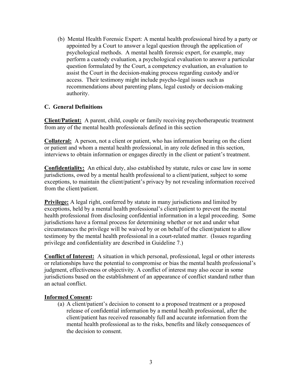<span id="page-7-0"></span>(b) Mental Health Forensic Expert: A mental health professional hired by a party or appointed by a Court to answer a legal question through the application of psychological methods. A mental health forensic expert, for example, may perform a custody evaluation, a psychological evaluation to answer a particular question formulated by the Court, a competency evaluation, an evaluation to assist the Court in the decision-making process regarding custody and/or access. Their testimony might include psycho-legal issues such as recommendations about parenting plans, legal custody or decision-making authority.

#### **C. General Definitions**

**Client/Patient:** A parent, child, couple or family receiving psychotherapeutic treatment from any of the mental health professionals defined in this section

**Collateral:** A person, not a client or patient, who has information bearing on the client or patient and whom a mental health professional, in any role defined in this section, interviews to obtain information or engages directly in the client or patient's treatment.

**Confidentiality:** An ethical duty, also established by statute, rules or case law in some jurisdictions, owed by a mental health professional to a client/patient, subject to some exceptions, to maintain the client/patient's privacy by not revealing information received from the client/patient.

**Privilege:** A legal right, conferred by statute in many jurisdictions and limited by exceptions, held by a mental health professional's client/patient to prevent the mental health professional from disclosing confidential information in a legal proceeding. Some jurisdictions have a formal process for determining whether or not and under what circumstances the privilege will be waived by or on behalf of the client/patient to allow testimony by the mental health professional in a court-related matter. (Issues regarding privilege and confidentiality are described in Guideline 7.)

**Conflict of Interest:** A situation in which personal, professional, legal or other interests or relationships have the potential to compromise or bias the mental health professional's judgment, effectiveness or objectivity. A conflict of interest may also occur in some jurisdictions based on the establishment of an appearance of conflict standard rather than an actual conflict.

#### **Informed Consent:**

(a) A client/patient's decision to consent to a proposed treatment or a proposed release of confidential information by a mental health professional, after the client/patient has received reasonably full and accurate information from the mental health professional as to the risks, benefits and likely consequences of the decision to consent.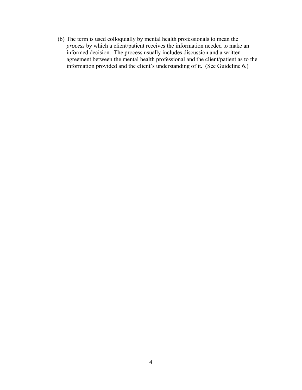(b) The term is used colloquially by mental health professionals to mean the *process* by which a client/patient receives the information needed to make an informed decision. The process usually includes discussion and a written agreement between the mental health professional and the client/patient as to the information provided and the client's understanding of it. (See Guideline 6.)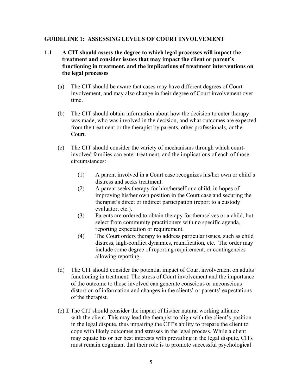#### <span id="page-9-0"></span>**GUIDELINE 1: ASSESSING LEVELS OF COURT INVOLVEMENT**

- **1.1 A CIT should assess the degree to which legal processes will impact the treatment and consider issues that may impact the client or parent's functioning in treatment, and the implications of treatment interventions on the legal processes** 
	- (a) The CIT should be aware that cases may have different degrees of Court involvement, and may also change in their degree of Court involvement over time.
	- (b) The CIT should obtain information about how the decision to enter therapy was made, who was involved in the decision, and what outcomes are expected from the treatment or the therapist by parents, other professionals, or the Court.
	- (c) The CIT should consider the variety of mechanisms through which courtinvolved families can enter treatment, and the implications of each of those circumstances:
		- (1) A parent involved in a Court case recognizes his/her own or child's distress and seeks treatment.
		- (2) A parent seeks therapy for him/herself or a child, in hopes of improving his/her own position in the Court case and securing the therapist's direct or indirect participation (report to a custody evaluator, etc.).
		- (3) Parents are ordered to obtain therapy for themselves or a child, but select from community practitioners with no specific agenda, reporting expectation or requirement.
		- (4) The Court orders therapy to address particular issues, such as child distress, high-conflict dynamics, reunification, etc. The order may include some degree of reporting requirement, or contingencies allowing reporting.
	- (d) The CIT should consider the potential impact of Court involvement on adults' functioning in treatment. The stress of Court involvement and the importance of the outcome to those involved can generate conscious or unconscious distortion of information and changes in the clients' or parents' expectations of the therapist.
	- (e) **A**The CIT should consider the impact of his/her natural working alliance with the client. This may lead the therapist to align with the client's position in the legal dispute, thus impairing the CIT's ability to prepare the client to cope with likely outcomes and stresses in the legal process. While a client may equate his or her best interests with prevailing in the legal dispute, CITs must remain cognizant that their role is to promote successful psychological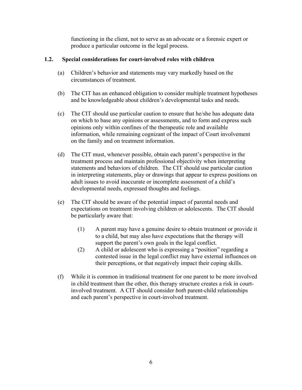functioning in the client, not to serve as an advocate or a forensic expert or produce a particular outcome in the legal process.

#### <span id="page-10-0"></span>**1.2. Special considerations for court-involved roles with children**

- (a) Children's behavior and statements may vary markedly based on the circumstances of treatment.
- (b) The CIT has an enhanced obligation to consider multiple treatment hypotheses and be knowledgeable about children's developmental tasks and needs.
- (c) The CIT should use particular caution to ensure that he/she has adequate data on which to base any opinions or assessments, and to form and express such opinions only within confines of the therapeutic role and available information, while remaining cognizant of the impact of Court involvement on the family and on treatment information.
- (d) The CIT must, whenever possible, obtain each parent's perspective in the treatment process and maintain professional objectivity when interpreting statements and behaviors of children. The CIT should use particular caution in interpreting statements, play or drawings that appear to express positions on adult issues to avoid inaccurate or incomplete assessment of a child's developmental needs, expressed thoughts and feelings.
- (e) The CIT should be aware of the potential impact of parental needs and expectations on treatment involving children or adolescents. The CIT should be particularly aware that:
	- (1) A parent may have a genuine desire to obtain treatment or provide it to a child, but may also have expectations that the therapy will support the parent's own goals in the legal conflict.
	- (2) A child or adolescent who is expressing a "position" regarding a contested issue in the legal conflict may have external influences on their perceptions, or that negatively impact their coping skills.
- (f) While it is common in traditional treatment for one parent to be more involved in child treatment than the other, this therapy structure creates a risk in courtinvolved treatment. A CIT should consider *both* parent-child relationships and each parent's perspective in court-involved treatment.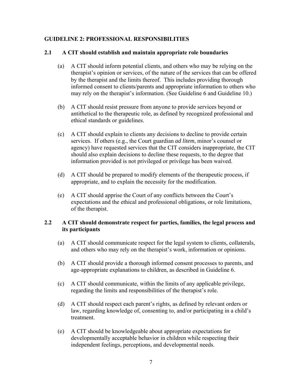#### <span id="page-11-0"></span>**GUIDELINE 2: PROFESSIONAL RESPONSIBILITIES**

#### **2.1 A CIT should establish and maintain appropriate role boundaries**

- (a) A CIT should inform potential clients, and others who may be relying on the therapist's opinion or services, of the nature of the services that can be offered by the therapist and the limits thereof. This includes providing thorough informed consent to clients/parents and appropriate information to others who may rely on the therapist's information. (See Guideline 6 and Guideline 10.)
- (b) A CIT should resist pressure from anyone to provide services beyond or antithetical to the therapeutic role, as defined by recognized professional and ethical standards or guidelines.
- (c) A CIT should explain to clients any decisions to decline to provide certain services. If others (e.g., the Court guardian *ad litem*, minor's counsel or agency) have requested services that the CIT considers inappropriate, the CIT should also explain decisions to decline these requests, to the degree that information provided is not privileged or privilege has been waived.
- (d) A CIT should be prepared to modify elements of the therapeutic process, if appropriate, and to explain the necessity for the modification.
- (e) A CIT should apprise the Court of any conflicts between the Court's expectations and the ethical and professional obligations, or role limitations, of the therapist.

#### **2.2 A CIT should demonstrate respect for parties, families, the legal process and its participants**

- (a) A CIT should communicate respect for the legal system to clients, collaterals, and others who may rely on the therapist's work, information or opinions.
- (b) A CIT should provide a thorough informed consent processes to parents, and age-appropriate explanations to children, as described in Guideline 6.
- (c) A CIT should communicate, within the limits of any applicable privilege, regarding the limits and responsibilities of the therapist's role.
- (d) A CIT should respect each parent's rights, as defined by relevant orders or law, regarding knowledge of, consenting to, and/or participating in a child's treatment.
- (e) A CIT should be knowledgeable about appropriate expectations for developmentally acceptable behavior in children while respecting their independent feelings, perceptions, and developmental needs.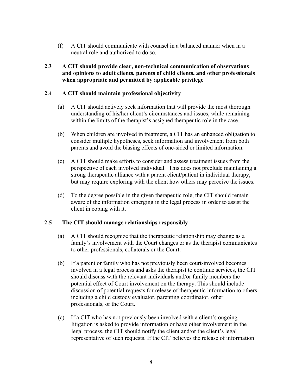- <span id="page-12-0"></span>(f) A CIT should communicate with counsel in a balanced manner when in a neutral role and authorized to do so.
- **2.3 A CIT should provide clear, non-technical communication of observations and opinions to adult clients, parents of child clients, and other professionals when appropriate and permitted by applicable privilege**

# **2.4 A CIT should maintain professional objectivity**

- (a) A CIT should actively seek information that will provide the most thorough understanding of his/her client's circumstances and issues, while remaining within the limits of the therapist's assigned therapeutic role in the case.
- (b) When children are involved in treatment, a CIT has an enhanced obligation to consider multiple hypotheses, seek information and involvement from both parents and avoid the biasing effects of one-sided or limited information.
- (c) A CIT should make efforts to consider and assess treatment issues from the perspective of each involved individual. This does not preclude maintaining a strong therapeutic alliance with a parent client/patient in individual therapy, but may require exploring with the client how others may perceive the issues.
- (d) To the degree possible in the given therapeutic role, the CIT should remain aware of the information emerging in the legal process in order to assist the client in coping with it.

# **2.5 The CIT should manage relationships responsibly**

- (a) A CIT should recognize that the therapeutic relationship may change as a family's involvement with the Court changes or as the therapist communicates to other professionals, collaterals or the Court.
- (b) If a parent or family who has not previously been court-involved becomes involved in a legal process and asks the therapist to continue services, the CIT should discuss with the relevant individuals and/or family members the potential effect of Court involvement on the therapy. This should include discussion of potential requests for release of therapeutic information to others including a child custody evaluator, parenting coordinator, other professionals, or the Court.
- (c) If a CIT who has not previously been involved with a client's ongoing litigation is asked to provide information or have other involvement in the legal process, the CIT should notify the client and/or the client's legal representative of such requests. If the CIT believes the release of information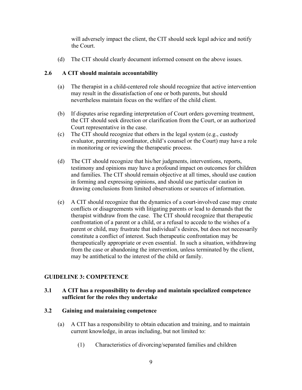<span id="page-13-0"></span>will adversely impact the client, the CIT should seek legal advice and notify the Court.

(d) The CIT should clearly document informed consent on the above issues.

# **2.6 A CIT should maintain accountability**

- (a) The therapist in a child-centered role should recognize that active intervention may result in the dissatisfaction of one or both parents, but should nevertheless maintain focus on the welfare of the child client.
- (b) If disputes arise regarding interpretation of Court orders governing treatment, the CIT should seek direction or clarification from the Court, or an authorized Court representative in the case.
- (c) The CIT should recognize that others in the legal system (e.g., custody evaluator, parenting coordinator, child's counsel or the Court) may have a role in monitoring or reviewing the therapeutic process.
- (d) The CIT should recognize that his/her judgments, interventions, reports, testimony and opinions may have a profound impact on outcomes for children and families. The CIT should remain objective at all times, should use caution in forming and expressing opinions, and should use particular caution in drawing conclusions from limited observations or sources of information.
- (e) A CIT should recognize that the dynamics of a court-involved case may create conflicts or disagreements with litigating parents or lead to demands that the therapist withdraw from the case. The CIT should recognize that therapeutic confrontation of a parent or a child, or a refusal to accede to the wishes of a parent or child, may frustrate that individual's desires, but does not necessarily constitute a conflict of interest. Such therapeutic confrontation may be therapeutically appropriate or even essential. In such a situation, withdrawing from the case or abandoning the intervention, unless terminated by the client, may be antithetical to the interest of the child or family.

# **GUIDELINE 3: COMPETENCE**

#### **3.1 A CIT has a responsibility to develop and maintain specialized competence sufficient for the roles they undertake**

#### **3.2 Gaining and maintaining competence**

- (a) A CIT has a responsibility to obtain education and training, and to maintain current knowledge, in areas including, but not limited to:
	- (1) Characteristics of divorcing/separated families and children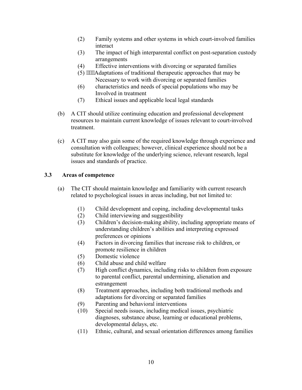- <span id="page-14-0"></span>(2) Family systems and other systems in which court-involved families interact
- (3) The impact of high interparental conflict on post-separation custody arrangements
- (4) Effective interventions with divorcing or separated families
- (5) Adaptations of traditional therapeutic approaches that may be Necessary to work with divorcing or separated families
- (6) characteristics and needs of special populations who may be Involved in treatment
- (7) Ethical issues and applicable local legal standards
- (b) A CIT should utilize continuing education and professional development resources to maintain current knowledge of issues relevant to court-involved treatment.
- (c) A CIT may also gain some of the required knowledge through experience and consultation with colleagues; however, clinical experience should not be a substitute for knowledge of the underlying science, relevant research, legal issues and standards of practice.

# **3.3 Areas of competence**

- (a) The CIT should maintain knowledge and familiarity with current research related to psychological issues in areas including, but not limited to:
	- (1) Child development and coping, including developmental tasks
	- (2) Child interviewing and suggestibility
	- (3) Children's decision-making ability, including appropriate means of understanding children's abilities and interpreting expressed preferences or opinions
	- (4) Factors in divorcing families that increase risk to children, or promote resilience in children
	- (5) Domestic violence
	- (6) Child abuse and child welfare
	- (7) High conflict dynamics, including risks to children from exposure to parental conflict, parental undermining, alienation and estrangement
	- (8) Treatment approaches, including both traditional methods and adaptations for divorcing or separated families
	- (9) Parenting and behavioral interventions
	- (10) Special needs issues, including medical issues, psychiatric diagnoses, substance abuse, learning or educational problems, developmental delays, etc.
	- (11) Ethnic, cultural, and sexual orientation differences among families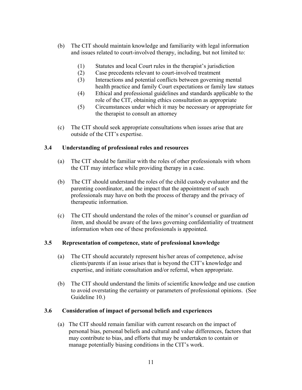- <span id="page-15-0"></span>(b) The CIT should maintain knowledge and familiarity with legal information and issues related to court-involved therapy, including, but not limited to:
	- (1) Statutes and local Court rules in the therapist's jurisdiction
	- (2) Case precedents relevant to court-involved treatment
	- (3) Interactions and potential conflicts between governing mental health practice and family Court expectations or family law statues
	- (4) Ethical and professional guidelines and standards applicable to the role of the CIT, obtaining ethics consultation as appropriate
	- (5) Circumstances under which it may be necessary or appropriate for the therapist to consult an attorney
- (c) The CIT should seek appropriate consultations when issues arise that are outside of the CIT's expertise.

# **3.4 Understanding of professional roles and resources**

- (a) The CIT should be familiar with the roles of other professionals with whom the CIT may interface while providing therapy in a case.
- (b) The CIT should understand the roles of the child custody evaluator and the parenting coordinator, and the impact that the appointment of such professionals may have on both the process of therapy and the privacy of therapeutic information.
- (c) The CIT should understand the roles of the minor's counsel or guardian *ad litem*, and should be aware of the laws governing confidentiality of treatment information when one of these professionals is appointed.

# **3.5 Representation of competence, state of professional knowledge**

- (a) The CIT should accurately represent his/her areas of competence, advise clients/parents if an issue arises that is beyond the CIT's knowledge and expertise, and initiate consultation and/or referral, when appropriate.
- (b) The CIT should understand the limits of scientific knowledge and use caution to avoid overstating the certainty or parameters of professional opinions. (See Guideline 10.)

# **3.6 Consideration of impact of personal beliefs and experiences**

(a) The CIT should remain familiar with current research on the impact of personal bias, personal beliefs and cultural and value differences, factors that may contribute to bias, and efforts that may be undertaken to contain or manage potentially biasing conditions in the CIT's work.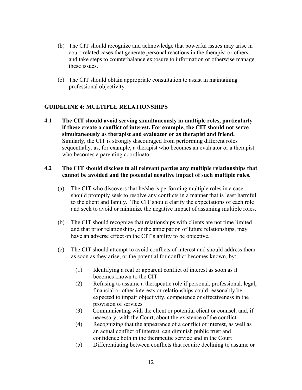- <span id="page-16-0"></span>(b) The CIT should recognize and acknowledge that powerful issues may arise in court-related cases that generate personal reactions in the therapist or others, and take steps to counterbalance exposure to information or otherwise manage these issues.
- (c) The CIT should obtain appropriate consultation to assist in maintaining professional objectivity.

# **GUIDELINE 4: MULTIPLE RELATIONSHIPS**

**4.1 The CIT should avoid serving simultaneously in multiple roles, particularly if these create a conflict of interest. For example, the CIT should not serve simultaneously as therapist and evaluator or as therapist and friend.**  Similarly, the CIT is strongly discouraged from performing different roles sequentially, as, for example, a therapist who becomes an evaluator or a therapist who becomes a parenting coordinator.

#### **4.2 The CIT should disclose to all relevant parties any multiple relationships that cannot be avoided and the potential negative impact of such multiple roles.**

- (a) The CIT who discovers that he/she is performing multiple roles in a case should promptly seek to resolve any conflicts in a manner that is least harmful to the client and family. The CIT should clarify the expectations of each role and seek to avoid or minimize the negative impact of assuming multiple roles.
- (b) The CIT should recognize that relationships with clients are not time limited and that prior relationships, or the anticipation of future relationships, may have an adverse effect on the CIT's ability to be objective.
- (c) The CIT should attempt to avoid conflicts of interest and should address them as soon as they arise, or the potential for conflict becomes known, by:
	- (1) Identifying a real or apparent conflict of interest as soon as it becomes known to the CIT
	- (2) Refusing to assume a therapeutic role if personal, professional, legal, financial or other interests or relationships could reasonably be expected to impair objectivity, competence or effectiveness in the provision of services
	- (3) Communicating with the client or potential client or counsel, and, if necessary, with the Court, about the existence of the conflict.
	- (4) Recognizing that the appearance of a conflict of interest, as well as an actual conflict of interest, can diminish public trust and confidence both in the therapeutic service and in the Court
	- (5) Differentiating between conflicts that require declining to assume or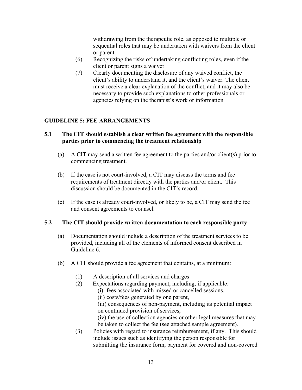withdrawing from the therapeutic role, as opposed to multiple or sequential roles that may be undertaken with waivers from the client or parent

- <span id="page-17-0"></span>(6) Recognizing the risks of undertaking conflicting roles, even if the client or parent signs a waiver
- (7) Clearly documenting the disclosure of any waived conflict, the client's ability to understand it, and the client's waiver. The client must receive a clear explanation of the conflict, and it may also be necessary to provide such explanations to other professionals or agencies relying on the therapist's work or information

# **GUIDELINE 5: FEE ARRANGEMENTS**

# **5.1 The CIT should establish a clear written fee agreement with the responsible parties prior to commencing the treatment relationship**

- (a) A CIT may send a written fee agreement to the parties and/or client(s) prior to commencing treatment.
- (b) If the case is not court-involved, a CIT may discuss the terms and fee requirements of treatment directly with the parties and/or client. This discussion should be documented in the CIT's record.
- (c) If the case is already court-involved, or likely to be, a CIT may send the fee and consent agreements to counsel.

# **5.2 The CIT should provide written documentation to each responsible party**

- (a) Documentation should include a description of the treatment services to be provided, including all of the elements of informed consent described in Guideline 6.
- (b) A CIT should provide a fee agreement that contains, at a minimum:
	- (1) A description of all services and charges
	- (2) Expectations regarding payment, including, if applicable:
		- (i) fees associated with missed or cancelled sessions,
			- (ii) costs/fees generated by one parent,

(iii) consequences of non-payment, including its potential impact on continued provision of services,

(iv) the use of collection agencies or other legal measures that may be taken to collect the fee (see attached sample agreement).

(3) Policies with regard to insurance reimbursement, if any. This should include issues such as identifying the person responsible for submitting the insurance form, payment for covered and non-covered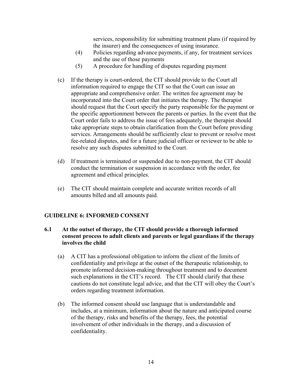services, responsibility for submitting treatment plans (if required by the insurer) and the consequences of using insurance.

- <span id="page-18-0"></span>(4) Policies regarding advance payments, if any, for treatment services and the use of those payments
- (5) A procedure for handling of disputes regarding payment
- (c) If the therapy is court-ordered, the CIT should provide to the Court all information required to engage the CIT so that the Court can issue an appropriate and comprehensive order. The written fee agreement may be incorporated into the Court order that initiates the therapy. The therapist should request that the Court specify the party responsible for the payment or the specific apportionment between the parents or parties. In the event that the Court order fails to address the issue of fees adequately, the therapist should take appropriate steps to obtain clarification from the Court before providing services. Arrangements should be sufficiently clear to prevent or resolve most fee-related disputes, and for a future judicial officer or reviewer to be able to resolve any such disputes submitted to the Court.
- (d) If treatment is terminated or suspended due to non-payment, the CIT should conduct the termination or suspension in accordance with the order, fee agreement and ethical principles.
- (e) The CIT should maintain complete and accurate written records of all amounts billed and all amounts paid.

# **GUIDELINE 6: INFORMED CONSENT**

#### **6.1 At the outset of therapy, the CIT should provide a thorough informed consent process to adult clients and parents or legal guardians if the therapy involves the child**

- (a) A CIT has a professional obligation to inform the client of the limits of confidentiality and privilege at the outset of the therapeutic relationship, to promote informed decision-making throughout treatment and to document such explanations in the CIT's record. The CIT should clarify that these cautions do not constitute legal advice, and that the CIT will obey the Court's orders regarding treatment information.
- (b) The informed consent should use language that is understandable and includes, at a minimum, information about the nature and anticipated course of the therapy, risks and benefits of the therapy, fees, the potential involvement of other individuals in the therapy, and a discussion of confidentiality.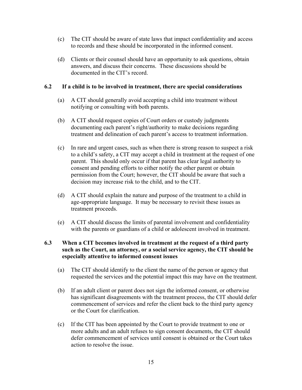- <span id="page-19-0"></span>(c) The CIT should be aware of state laws that impact confidentiality and access to records and these should be incorporated in the informed consent.
- (d) Clients or their counsel should have an opportunity to ask questions, obtain answers, and discuss their concerns. These discussions should be documented in the CIT's record.

#### **6.2 If a child is to be involved in treatment, there are special considerations**

- (a) A CIT should generally avoid accepting a child into treatment without notifying or consulting with both parents.
- (b) A CIT should request copies of Court orders or custody judgments documenting each parent's right/authority to make decisions regarding treatment and delineation of each parent's access to treatment information.
- (c) In rare and urgent cases, such as when there is strong reason to suspect a risk to a child's safety, a CIT may accept a child in treatment at the request of one parent. This should only occur if that parent has clear legal authority to consent and pending efforts to either notify the other parent or obtain permission from the Court; however, the CIT should be aware that such a decision may increase risk to the child, and to the CIT.
- (d) A CIT should explain the nature and purpose of the treatment to a child in age-appropriate language. It may be necessary to revisit these issues as treatment proceeds.
- (e) A CIT should discuss the limits of parental involvement and confidentiality with the parents or guardians of a child or adolescent involved in treatment.

#### **6.3 When a CIT becomes involved in treatment at the request of a third party such as the Court, an attorney, or a social service agency, the CIT should be especially attentive to informed consent issues**

- (a) The CIT should identify to the client the name of the person or agency that requested the services and the potential impact this may have on the treatment.
- (b) If an adult client or parent does not sign the informed consent, or otherwise has significant disagreements with the treatment process, the CIT should defer commencement of services and refer the client back to the third party agency or the Court for clarification.
- (c) If the CIT has been appointed by the Court to provide treatment to one or more adults and an adult refuses to sign consent documents, the CIT should defer commencement of services until consent is obtained or the Court takes action to resolve the issue.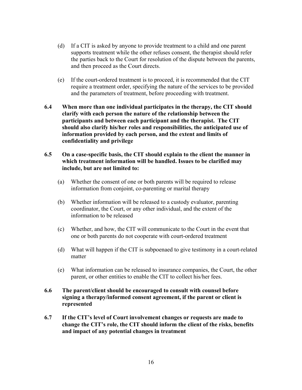- <span id="page-20-0"></span>(d) If a CIT is asked by anyone to provide treatment to a child and one parent supports treatment while the other refuses consent, the therapist should refer the parties back to the Court for resolution of the dispute between the parents, and then proceed as the Court directs.
- (e) If the court-ordered treatment is to proceed, it is recommended that the CIT require a treatment order, specifying the nature of the services to be provided and the parameters of treatment, before proceeding with treatment.
- **6.4 When more than one individual participates in the therapy, the CIT should clarify with each person the nature of the relationship between the participants and between each participant and the therapist. The CIT should also clarify his/her roles and responsibilities, the anticipated use of information provided by each person, and the extent and limits of confidentiality and privilege**
- **6.5 On a case-specific basis, the CIT should explain to the client the manner in which treatment information will be handled. Issues to be clarified may include, but are not limited to:**
	- (a) Whether the consent of one or both parents will be required to release information from conjoint, co-parenting or marital therapy
	- (b) Whether information will be released to a custody evaluator, parenting coordinator, the Court, or any other individual, and the extent of the information to be released
	- (c) Whether, and how, the CIT will communicate to the Court in the event that one or both parents do not cooperate with court-ordered treatment
	- (d) What will happen if the CIT is subpoenaed to give testimony in a court-related matter
	- (e) What information can be released to insurance companies, the Court, the other parent, or other entities to enable the CIT to collect his/her fees.
- **6.6 The parent/client should be encouraged to consult with counsel before signing a therapy/informed consent agreement, if the parent or client is represented**
- **6.7 If the CIT's level of Court involvement changes or requests are made to change the CIT's role, the CIT should inform the client of the risks, benefits and impact of any potential changes in treatment**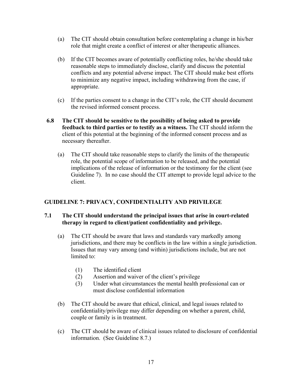- <span id="page-21-0"></span>(a) The CIT should obtain consultation before contemplating a change in his/her role that might create a conflict of interest or alter therapeutic alliances.
- (b) If the CIT becomes aware of potentially conflicting roles, he/she should take reasonable steps to immediately disclose, clarify and discuss the potential conflicts and any potential adverse impact. The CIT should make best efforts to minimize any negative impact, including withdrawing from the case, if appropriate.
- (c) If the parties consent to a change in the CIT's role, the CIT should document the revised informed consent process.
- **6.8 The CIT should be sensitive to the possibility of being asked to provide feedback to third parties or to testify as a witness.** The CIT should inform the client of this potential at the beginning of the informed consent process and as necessary thereafter.
	- (a) The CIT should take reasonable steps to clarify the limits of the therapeutic role, the potential scope of information to be released, and the potential implications of the release of information or the testimony for the client (see Guideline 7). In no case should the CIT attempt to provide legal advice to the client.

# **GUIDELINE 7: PRIVACY, CONFIDENTIALITY AND PRIVILEGE**

# **7.1 The CIT should understand the principal issues that arise in court-related therapy in regard to client/patient confidentiality and privilege.**

- (a) The CIT should be aware that laws and standards vary markedly among jurisdictions, and there may be conflicts in the law within a single jurisdiction. Issues that may vary among (and within) jurisdictions include, but are not limited to:
	- (1) The identified client
	- (2) Assertion and waiver of the client's privilege
	- (3) Under what circumstances the mental health professional can or must disclose confidential information
- (b) The CIT should be aware that ethical, clinical, and legal issues related to confidentiality/privilege may differ depending on whether a parent, child, couple or family is in treatment.
- (c) The CIT should be aware of clinical issues related to disclosure of confidential information. (See Guideline 8.7.)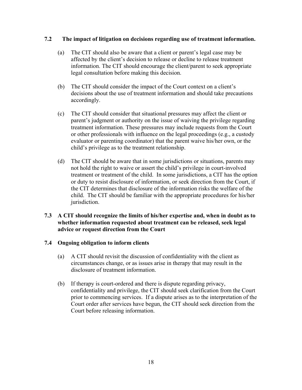# <span id="page-22-0"></span>**7.2 The impact of litigation on decisions regarding use of treatment information.**

- (a) The CIT should also be aware that a client or parent's legal case may be affected by the client's decision to release or decline to release treatment information. The CIT should encourage the client/parent to seek appropriate legal consultation before making this decision.
- (b)The CIT should consider the impact of the Court context on a client's decisions about the use of treatment information and should take precautions accordingly.
- (c) The CIT should consider that situational pressures may affect the client or parent's judgment or authority on the issue of waiving the privilege regarding treatment information. These pressures may include requests from the Court or other professionals with influence on the legal proceedings (e.g., a custody evaluator or parenting coordinator) that the parent waive his/her own, or the child's privilege as to the treatment relationship.
- (d) The CIT should be aware that in some jurisdictions or situations, parents may not hold the right to waive or assert the child's privilege in court-involved treatment or treatment of the child. In some jurisdictions, a CIT has the option or duty to resist disclosure of information, or seek direction from the Court, if the CIT determines that disclosure of the information risks the welfare of the child. The CIT should be familiar with the appropriate procedures for his/her jurisdiction.
- **7.3 A CIT should recognize the limits of his/her expertise and, when in doubt as to whether information requested about treatment can be released, seek legal advice or request direction from the Court**

# **7.4 Ongoing obligation to inform clients**

- (a) A CIT should revisit the discussion of confidentiality with the client as circumstances change, or as issues arise in therapy that may result in the disclosure of treatment information.
- (b) If therapy is court-ordered and there is dispute regarding privacy, confidentiality and privilege, the CIT should seek clarification from the Court prior to commencing services. If a dispute arises as to the interpretation of the Court order after services have begun, the CIT should seek direction from the Court before releasing information.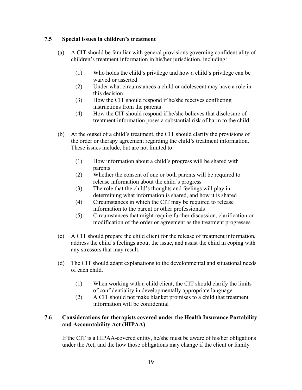# <span id="page-23-0"></span>**7.5 Special issues in children's treatment**

- (a) A CIT should be familiar with general provisions governing confidentiality of children's treatment information in his/her jurisdiction, including:
	- (1) Who holds the child's privilege and how a child's privilege can be waived or asserted
	- (2) Under what circumstances a child or adolescent may have a role in this decision
	- (3) How the CIT should respond if he/she receives conflicting instructions from the parents
	- (4) How the CIT should respond if he/she believes that disclosure of treatment information poses a substantial risk of harm to the child
- (b) At the outset of a child's treatment, the CIT should clarify the provisions of the order or therapy agreement regarding the child's treatment information. These issues include, but are not limited to:
	- (1) How information about a child's progress will be shared with parents
	- (2) Whether the consent of one or both parents will be required to release information about the child's progress
	- (3) The role that the child's thoughts and feelings will play in determining what information is shared, and how it is shared
	- (4) Circumstances in which the CIT may be required to release information to the parent or other professionals
	- (5) Circumstances that might require further discussion, clarification or modification of the order or agreement as the treatment progresses
- (c) A CIT should prepare the child client for the release of treatment information, address the child's feelings about the issue, and assist the child in coping with any stressors that may result.
- (d) The CIT should adapt explanations to the developmental and situational needs of each child.
	- (1) When working with a child client, the CIT should clarify the limits of confidentiality in developmentally appropriate language
	- (2) A CIT should not make blanket promises to a child that treatment information will be confidential

# **7.6 Considerations for therapists covered under the Health Insurance Portability and Accountability Act (HIPAA)**

If the CIT is a HIPAA-covered entity, he/she must be aware of his/her obligations under the Act, and the how those obligations may change if the client or family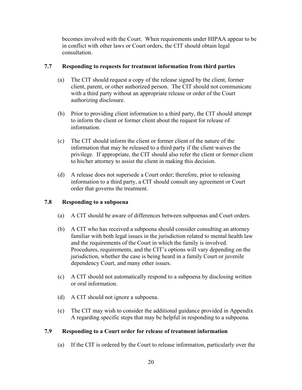<span id="page-24-0"></span>becomes involved with the Court. When requirements under HIPAA appear to be in conflict with other laws or Court orders, the CIT should obtain legal consultation.

# **7.7 Responding to requests for treatment information from third parties**

- (a) The CIT should request a copy of the release signed by the client, former client, parent, or other authorized person. The CIT should not communicate with a third party without an appropriate release or order of the Court authorizing disclosure.
- (b) Prior to providing client information to a third party, the CIT should attempt to inform the client or former client about the request for release of information.
- (c) The CIT should inform the client or former client of the nature of the information that may be released to a third party if the client waives the privilege. If appropriate, the CIT should also refer the client or former client to his/her attorney to assist the client in making this decision.
- (d) A release does not supersede a Court order; therefore, prior to releasing information to a third party, a CIT should consult any agreement or Court order that governs the treatment.

# **7.8 Responding to a subpoena**

- (a) A CIT should be aware of differences between subpoenas and Court orders.
- (b) A CIT who has received a subpoena should consider consulting an attorney familiar with both legal issues in the jurisdiction related to mental health law and the requirements of the Court in which the family is involved. Procedures, requirements, and the CIT's options will vary depending on the jurisdiction, whether the case is being heard in a family Court or juvenile dependency Court, and many other issues.
- (c) A CIT should not automatically respond to a subpoena by disclosing written or oral information.
- (d) A CIT should not ignore a subpoena.
- (e) The CIT may wish to consider the additional guidance provided in Appendix A regarding specific steps that may be helpful in responding to a subpoena.

# **7.9 Responding to a Court order for release of treatment information**

(a) If the CIT is ordered by the Court to release information, particularly over the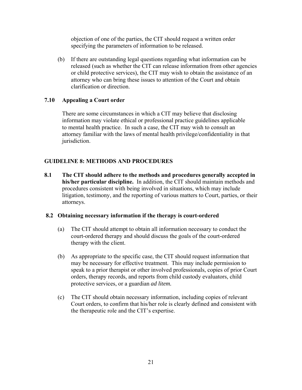<span id="page-25-0"></span>objection of one of the parties, the CIT should request a written order specifying the parameters of information to be released.

(b) If there are outstanding legal questions regarding what information can be released (such as whether the CIT can release information from other agencies or child protective services), the CIT may wish to obtain the assistance of an attorney who can bring these issues to attention of the Court and obtain clarification or direction.

# **7.10 Appealing a Court order**

There are some circumstances in which a CIT may believe that disclosing information may violate ethical or professional practice guidelines applicable to mental health practice. In such a case, the CIT may wish to consult an attorney familiar with the laws of mental health privilege/confidentiality in that jurisdiction.

# **GUIDELINE 8: METHODS AND PROCEDURES**

**8.1 The CIT should adhere to the methods and procedures generally accepted in his/her particular discipline.** In addition, the CIT should maintain methods and procedures consistent with being involved in situations, which may include litigation, testimony, and the reporting of various matters to Court, parties, or their attorneys.

# **8.2 Obtaining necessary information if the therapy is court-ordered**

- (a) The CIT should attempt to obtain all information necessary to conduct the court-ordered therapy and should discuss the goals of the court-ordered therapy with the client.
- (b) As appropriate to the specific case, the CIT should request information that may be necessary for effective treatment. This may include permission to speak to a prior therapist or other involved professionals, copies of prior Court orders, therapy records, and reports from child custody evaluators, child protective services, or a guardian *ad litem.*
- (c) The CIT should obtain necessary information, including copies of relevant Court orders, to confirm that his/her role is clearly defined and consistent with the therapeutic role and the CIT's expertise.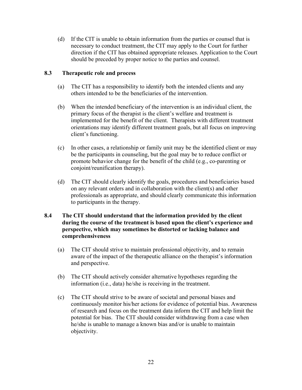<span id="page-26-0"></span>(d) If the CIT is unable to obtain information from the parties or counsel that is necessary to conduct treatment, the CIT may apply to the Court for further direction if the CIT has obtained appropriate releases. Application to the Court should be preceded by proper notice to the parties and counsel.

#### **8.3 Therapeutic role and process**

- (a) The CIT has a responsibility to identify both the intended clients and any others intended to be the beneficiaries of the intervention.
- (b) When the intended beneficiary of the intervention is an individual client, the primary focus of the therapist is the client's welfare and treatment is implemented for the benefit of the client. Therapists with different treatment orientations may identify different treatment goals, but all focus on improving client's functioning.
- (c) In other cases, a relationship or family unit may be the identified client or may be the participants in counseling, but the goal may be to reduce conflict or promote behavior change for the benefit of the child (e.g., co-parenting or conjoint/reunification therapy).
- (d) The CIT should clearly identify the goals, procedures and beneficiaries based on any relevant orders and in collaboration with the client(s) and other professionals as appropriate, and should clearly communicate this information to participants in the therapy.

#### **8.4 The CIT should understand that the information provided by the client during the course of the treatment is based upon the client's experience and perspective, which may sometimes be distorted or lacking balance and comprehensiveness**

- (a) The CIT should strive to maintain professional objectivity, and to remain aware of the impact of the therapeutic alliance on the therapist's information and perspective.
- (b) The CIT should actively consider alternative hypotheses regarding the information (i.e., data) he/she is receiving in the treatment.
- (c) The CIT should strive to be aware of societal and personal biases and continuously monitor his/her actions for evidence of potential bias. Awareness of research and focus on the treatment data inform the CIT and help limit the potential for bias. The CIT should consider withdrawing from a case when he/she is unable to manage a known bias and/or is unable to maintain objectivity.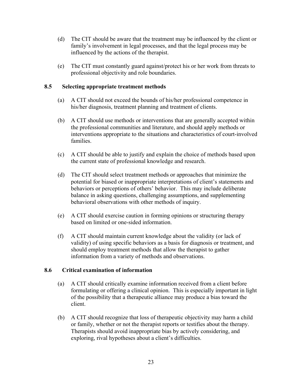- <span id="page-27-0"></span>(d) The CIT should be aware that the treatment may be influenced by the client or family's involvement in legal processes, and that the legal process may be influenced by the actions of the therapist.
- (e) The CIT must constantly guard against/protect his or her work from threats to professional objectivity and role boundaries.

#### **8.5 Selecting appropriate treatment methods**

- (a) A CIT should not exceed the bounds of his/her professional competence in his/her diagnosis, treatment planning and treatment of clients.
- (b) A CIT should use methods or interventions that are generally accepted within the professional communities and literature, and should apply methods or interventions appropriate to the situations and characteristics of court-involved families.
- (c) A CIT should be able to justify and explain the choice of methods based upon the current state of professional knowledge and research.
- (d) The CIT should select treatment methods or approaches that minimize the potential for biased or inappropriate interpretations of client's statements and behaviors or perceptions of others' behavior. This may include deliberate balance in asking questions, challenging assumptions, and supplementing behavioral observations with other methods of inquiry.
- (e) A CIT should exercise caution in forming opinions or structuring therapy based on limited or one-sided information.
- (f) A CIT should maintain current knowledge about the validity (or lack of validity) of using specific behaviors as a basis for diagnosis or treatment, and should employ treatment methods that allow the therapist to gather information from a variety of methods and observations.

#### **8.6 Critical examination of information**

- (a) A CIT should critically examine information received from a client before formulating or offering a clinical opinion. This is especially important in light of the possibility that a therapeutic alliance may produce a bias toward the client.
- (b) A CIT should recognize that loss of therapeutic objectivity may harm a child or family, whether or not the therapist reports or testifies about the therapy. Therapists should avoid inappropriate bias by actively considering, and exploring, rival hypotheses about a client's difficulties.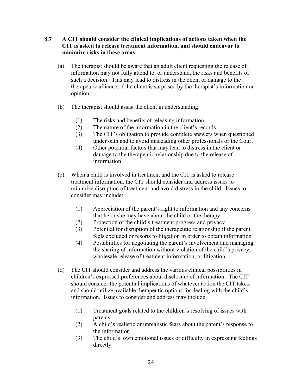# <span id="page-28-0"></span>**8.7 A CIT should consider the clinical implications of actions taken when the CIT is asked to release treatment information, and should endeavor to minimize risks in these areas**

- (a) The therapist should be aware that an adult client requesting the release of information may not fully attend to, or understand, the risks and benefits of such a decision. This may lead to distress in the client or damage to the therapeutic alliance, if the client is surprised by the therapist's information or opinion.
- (b) The therapist should assist the client in understanding:
	- (1) The risks and benefits of releasing information
	- (2) The nature of the information in the client's records
	- (3) The CIT's obligation to provide complete answers when questioned under oath and to avoid misleading other professionals or the Court
	- (4) Other potential factors that may lead to distress in the client or damage to the therapeutic relationship due to the release of information
- (c) When a child is involved in treatment and the CIT is asked to release treatment information, the CIT should consider and address issues to minimize disruption of treatment and avoid distress in the child. Issues to consider may include:
	- (1) Appreciation of the parent's right to information and any concerns that he or she may have about the child or the therapy
	- (2) Protection of the child's treatment progress and privacy
	- (3) Potential for disruption of the therapeutic relationship if the parent feels excluded or resorts to litigation in order to obtain information
	- (4) Possibilities for negotiating the parent's involvement and managing the sharing of information without violation of the child's privacy, wholesale release of treatment information, or litigation
- (d) The CIT should consider and address the various clinical possibilities in children's expressed preferences about disclosure of information. The CIT should consider the potential implications of whatever action the CIT takes, and should utilize available therapeutic options for dealing with the child's information. Issues to consider and address may include:
	- (1) Treatment goals related to the children's resolving of issues with parents
	- (2) A child's realistic or unrealistic fears about the parent's response to the information
	- (3) The child's own emotional issues or difficulty in expressing feelings directly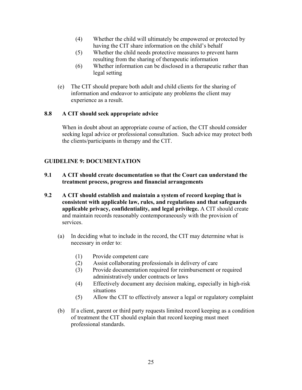- <span id="page-29-0"></span>(4) Whether the child will ultimately be empowered or protected by having the CIT share information on the child's behalf
- (5) Whether the child needs protective measures to prevent harm resulting from the sharing of therapeutic information
- (6) Whether information can be disclosed in a therapeutic rather than legal setting
- (e) The CIT should prepare both adult and child clients for the sharing of information and endeavor to anticipate any problems the client may experience as a result.

# **8.8 A CIT should seek appropriate advice**

When in doubt about an appropriate course of action, the CIT should consider seeking legal advice or professional consultation. Such advice may protect both the clients/participants in therapy and the CIT.

# **GUIDELINE 9: DOCUMENTATION**

- **9.1 A CIT should create documentation so that the Court can understand the treatment process, progress and financial arrangements**
- **9.2 A CIT should establish and maintain a system of record keeping that is consistent with applicable law, rules, and regulations and that safeguards applicable privacy, confidentiality, and legal privilege.** A CIT should create and maintain records reasonably contemporaneously with the provision of services.
	- (a) In deciding what to include in the record, the CIT may determine what is necessary in order to:
		- (1) Provide competent care
		- (2) Assist collaborating professionals in delivery of care
		- (3) Provide documentation required for reimbursement or required administratively under contracts or laws
		- (4) Effectively document any decision making, especially in high-risk situations
		- (5) Allow the CIT to effectively answer a legal or regulatory complaint
	- (b) If a client, parent or third party requests limited record keeping as a condition of treatment the CIT should explain that record keeping must meet professional standards.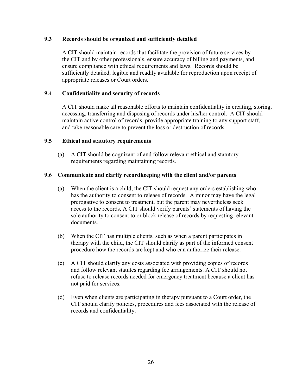# <span id="page-30-0"></span>**9.3 Records should be organized and sufficiently detailed**

A CIT should maintain records that facilitate the provision of future services by the CIT and by other professionals, ensure accuracy of billing and payments, and ensure compliance with ethical requirements and laws. Records should be sufficiently detailed, legible and readily available for reproduction upon receipt of appropriate releases or Court orders.

#### **9.4 Confidentiality and security of records**

 A CIT should make all reasonable efforts to maintain confidentiality in creating, storing, accessing, transferring and disposing of records under his/her control. A CIT should maintain active control of records, provide appropriate training to any support staff, and take reasonable care to prevent the loss or destruction of records.

#### **9.5 Ethical and statutory requirements**

(a) A CIT should be cognizant of and follow relevant ethical and statutory requirements regarding maintaining records.

#### **9.6 Communicate and clarify recordkeeping with the client and/or parents**

- (a) When the client is a child, the CIT should request any orders establishing who has the authority to consent to release of records. A minor may have the legal prerogative to consent to treatment, but the parent may nevertheless seek access to the records. A CIT should verify parents' statements of having the sole authority to consent to or block release of records by requesting relevant documents.
- (b) When the CIT has multiple clients, such as when a parent participates in therapy with the child, the CIT should clarify as part of the informed consent procedure how the records are kept and who can authorize their release.
- (c) A CIT should clarify any costs associated with providing copies of records and follow relevant statutes regarding fee arrangements. A CIT should not refuse to release records needed for emergency treatment because a client has not paid for services.
- (d) Even when clients are participating in therapy pursuant to a Court order, the CIT should clarify policies, procedures and fees associated with the release of records and confidentiality.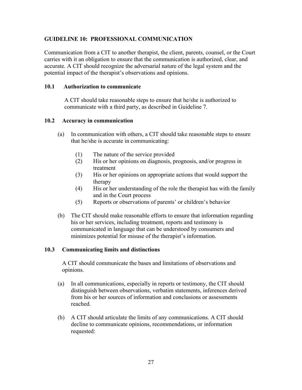# <span id="page-31-0"></span>**GUIDELINE 10: PROFESSIONAL COMMUNICATION**

Communication from a CIT to another therapist, the client, parents, counsel, or the Court carries with it an obligation to ensure that the communication is authorized, clear, and accurate. A CIT should recognize the adversarial nature of the legal system and the potential impact of the therapist's observations and opinions.

#### **10.1 Authorization to communicate**

A CIT should take reasonable steps to ensure that he/she is authorized to communicate with a third party, as described in Guideline 7.

#### **10.2 Accuracy in communication**

- (a) In communication with others, a CIT should take reasonable steps to ensure that he/she is accurate in communicating:
	- (1) The nature of the service provided
	- (2) His or her opinions on diagnosis, prognosis, and/or progress in treatment
	- (3) His or her opinions on appropriate actions that would support the therapy
	- (4) His or her understanding of the role the therapist has with the family and in the Court process
	- (5) Reports or observations of parents' or children's behavior
- (b) The CIT should make reasonable efforts to ensure that information regarding his or her services, including treatment, reports and testimony is communicated in language that can be understood by consumers and minimizes potential for misuse of the therapist's information.

#### **10.3 Communicating limits and distinctions**

A CIT should communicate the bases and limitations of observations and opinions.

- (a) In all communications, especially in reports or testimony, the CIT should distinguish between observations, verbatim statements, inferences derived from his or her sources of information and conclusions or assessments reached.
- (b) A CIT should articulate the limits of any communications. A CIT should decline to communicate opinions, recommendations, or information requested: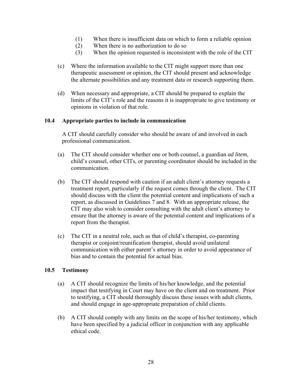- <span id="page-32-0"></span>(1) When there is insufficient data on which to form a reliable opinion
- (2) When there is no authorization to do so
- (3) When the opinion requested is inconsistent with the role of the CIT
- (c) Where the information available to the CIT might support more than one therapeutic assessment or opinion, the CIT should present and acknowledge the alternate possibilities and any treatment data or research supporting them.
- (d) When necessary and appropriate, a CIT should be prepared to explain the limits of the CIT's role and the reasons it is inappropriate to give testimony or opinions in violation of that role.

#### **10.4 Appropriate parties to include in communication**

A CIT should carefully consider who should be aware of and involved in each professional communication.

- (a) The CIT should consider whether one or both counsel, a guardian *ad litem*, child's counsel, other CITs, or parenting coordinator should be included in the communication.
- (b) The CIT should respond with caution if an adult client's attorney requests a treatment report, particularly if the request comes through the client. The CIT should discuss with the client the potential content and implications of such a report, as discussed in Guidelines 7 and 8. With an appropriate release, the CIT may also wish to consider consulting with the adult client's attorney to ensure that the attorney is aware of the potential content and implications of a report from the therapist.
- (c) The CIT in a neutral role, such as that of child's therapist, co-parenting therapist or conjoint/reunification therapist, should avoid unilateral communication with either parent's attorney in order to avoid appearance of bias and to contain the potential for actual bias.

# **10.5 Testimony**

- (a) A CIT should recognize the limits of his/her knowledge, and the potential impact that testifying in Court may have on the client and on treatment. Prior to testifying, a CIT should thoroughly discuss these issues with adult clients, and should engage in age-appropriate preparation of child clients.
- (b) A CIT should comply with any limits on the scope of his/her testimony, which have been specified by a judicial officer in conjunction with any applicable ethical code.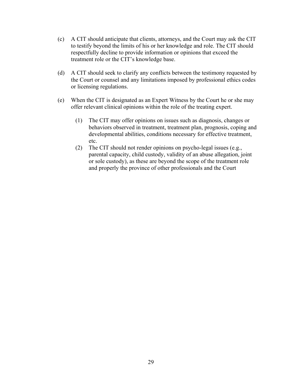- <span id="page-33-0"></span>(c) A CIT should anticipate that clients, attorneys, and the Court may ask the CIT to testify beyond the limits of his or her knowledge and role. The CIT should respectfully decline to provide information or opinions that exceed the treatment role or the CIT's knowledge base.
- (d) A CIT should seek to clarify any conflicts between the testimony requested by the Court or counsel and any limitations imposed by professional ethics codes or licensing regulations.
- (e) When the CIT is designated as an Expert Witness by the Court he or she may offer relevant clinical opinions within the role of the treating expert.
	- (1) The CIT may offer opinions on issues such as diagnosis, changes or behaviors observed in treatment, treatment plan, prognosis, coping and developmental abilities, conditions necessary for effective treatment, etc.
	- (2) The CIT should not render opinions on psycho-legal issues (e.g., parental capacity, child custody, validity of an abuse allegation, joint or sole custody), as these are beyond the scope of the treatment role and properly the province of other professionals and the Court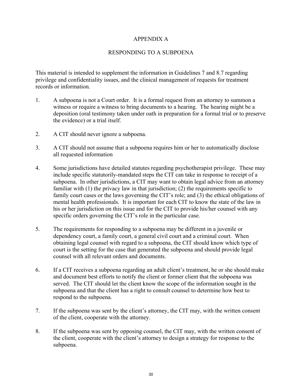#### APPENDIX A

#### RESPONDING TO A SUBPOENA

This material is intended to supplement the information in Guidelines 7 and 8.7 regarding privilege and confidentiality issues, and the clinical management of requests for treatment records or information.

- 1. A subpoena is not a Court order. It is a formal request from an attorney to summon a witness or require a witness to bring documents to a hearing. The hearing might be a deposition (oral testimony taken under oath in preparation for a formal trial or to preserve the evidence) or a trial itself.
- 2. A CIT should never ignore a subpoena.
- 3. A CIT should not assume that a subpoena requires him or her to automatically disclose all requested information
- 4. Some jurisdictions have detailed statutes regarding psychotherapist privilege. These may include specific statutorily-mandated steps the CIT can take in response to receipt of a subpoena. In other jurisdictions, a CIT may want to obtain legal advice from an attorney familiar with (1) the privacy law in that jurisdiction; (2) the requirements specific to family court cases or the laws governing the CIT's role; and (3) the ethical obligations of mental health professionals. It is important for each CIT to know the state of the law in his or her jurisdiction on this issue and for the CIT to provide his/her counsel with any specific orders governing the CIT's role in the particular case.
- 5. The requirements for responding to a subpoena may be different in a juvenile or dependency court, a family court, a general civil court and a criminal court. When obtaining legal counsel with regard to a subpoena, the CIT should know which type of court is the setting for the case that generated the subpoena and should provide legal counsel with all relevant orders and documents.
- 6. If a CIT receives a subpoena regarding an adult client's treatment, he or she should make and document best efforts to notify the client or former client that the subpoena was served. The CIT should let the client know the scope of the information sought in the subpoena and that the client has a right to consult counsel to determine how best to respond to the subpoena.
- 7. If the subpoena was sent by the client's attorney, the CIT may, with the written consent of the client, cooperate with the attorney.
- 8. If the subpoena was sent by opposing counsel, the CIT may, with the written consent of the client, cooperate with the client's attorney to design a strategy for response to the subpoena.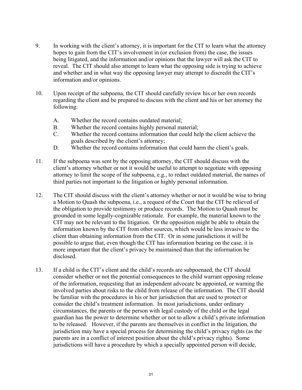- 9. In working with the client's attorney, it is important for the CIT to learn what the attorney hopes to gain from the CIT's involvement in (or exclusion from) the case, the issues being litigated, and the information and/or opinions that the lawyer will ask the CIT to reveal. The CIT should also attempt to learn what the opposing side is trying to achieve and whether and in what way the opposing lawyer may attempt to discredit the CIT's information and/or opinions.
- 10. Upon receipt of the subpoena, the CIT should carefully review his or her own records regarding the client and be prepared to discuss with the client and his or her attorney the following:
	- A. Whether the record contains outdated material;
	- B. Whether the record contains highly personal material;
	- C. Whether the record contains information that could help the client achieve the goals described by the client's attorney;
	- D. Whether the record contains information that could harm the client's goals.
- 11. If the subpoena was sent by the opposing attorney, the CIT should discuss with the client's attorney whether or not it would be useful to attempt to negotiate with opposing attorney to limit the scope of the subpoena, e.g., to redact outdated material, the names of third parties not important to the litigation or highly personal information.
- 12. The CIT should discuss with the client's attorney whether or not it would be wise to bring a Motion to Quash the subpoena, i.e., a request of the Court that the CIT be relieved of the obligation to provide testimony or produce records. The Motion to Quash must be grounded in some legally-cognizable rationale. For example, the material known to the CIT may not be relevant to the litigation. Or the opposition might be able to obtain the information known by the CIT from other sources, which would be less invasive to the client than obtaining information from the CIT. Or in some jurisdictions it will be possible to argue that, even though the CIT has information bearing on the case, it is more important that the client's privacy be maintained than that the information be disclosed.
- 13. If a child is the CIT's client and the child's records are subpoenaed, the CIT should consider whether or not the potential consequences to the child warrant opposing release of the information, requesting that an independent advocate be appointed, or warning the involved parties about risks to the child from release of the information. The CIT should be familiar with the procedures in his or her jurisdiction that are used to protect or consider the child's treatment information. In most jurisdictions, under ordinary circumstances, the parents or the person with legal custody of the child or the legal guardian has the power to determine whether or not to allow a child's private information to be released. However, if the parents are themselves in conflict in the litigation, the jurisdiction may have a special process for determining the child's privacy rights (as the parents are in a conflict of interest position about the child's privacy rights). Some jurisdictions will have a procedure by which a specially appointed person will decide,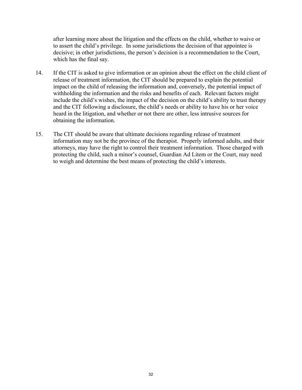after learning more about the litigation and the effects on the child, whether to waive or to assert the child's privilege. In some jurisdictions the decision of that appointee is decisive; in other jurisdictions, the person's decision is a recommendation to the Court, which has the final say.

- 14. If the CIT is asked to give information or an opinion about the effect on the child client of release of treatment information, the CIT should be prepared to explain the potential impact on the child of releasing the information and, conversely, the potential impact of withholding the information and the risks and benefits of each. Relevant factors might include the child's wishes, the impact of the decision on the child's ability to trust therapy and the CIT following a disclosure, the child's needs or ability to have his or her voice heard in the litigation, and whether or not there are other, less intrusive sources for obtaining the information.
- 15. The CIT should be aware that ultimate decisions regarding release of treatment information may not be the province of the therapist. Properly informed adults, and their attorneys, may have the right to control their treatment information. Those charged with protecting the child, such a minor's counsel, Guardian Ad Litem or the Court, may need to weigh and determine the best means of protecting the child's interests.